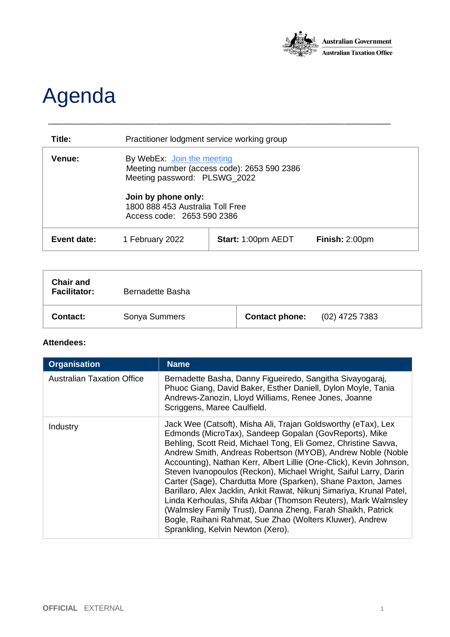

## Agenda

| Title:        | Practitioner lodgment service working group                                                               |                    |                |
|---------------|-----------------------------------------------------------------------------------------------------------|--------------------|----------------|
| <b>Venue:</b> | By WebEx: Join the meeting<br>Meeting number (access code): 2653 590 2386<br>Meeting password: PLSWG_2022 |                    |                |
|               | Join by phone only:<br>1800 888 453 Australia Toll Free<br>Access code: 2653 590 2386                     |                    |                |
| Event date:   | 1 February 2022                                                                                           | Start: 1:00pm AEDT | Finish: 2:00pm |

\_\_\_\_\_\_\_\_\_\_\_\_\_\_\_\_\_\_\_\_\_\_\_\_\_\_\_\_\_\_\_\_\_\_\_\_\_\_\_\_\_\_\_\_\_\_\_\_\_\_\_\_\_\_\_\_\_\_\_\_\_\_\_\_\_\_\_\_\_\_\_\_\_\_

| <b>Chair and</b><br><b>Facilitator:</b> | Bernadette Basha |                       |                  |
|-----------------------------------------|------------------|-----------------------|------------------|
| Contact:                                | Sonya Summers    | <b>Contact phone:</b> | $(02)$ 4725 7383 |

## **Attendees:**

| <b>Organisation</b>               | <b>Name</b>                                                                                                                                                                                                                                                                                                                                                                                                                                                                                                                                                                                                                                                                                                                                                                  |
|-----------------------------------|------------------------------------------------------------------------------------------------------------------------------------------------------------------------------------------------------------------------------------------------------------------------------------------------------------------------------------------------------------------------------------------------------------------------------------------------------------------------------------------------------------------------------------------------------------------------------------------------------------------------------------------------------------------------------------------------------------------------------------------------------------------------------|
| <b>Australian Taxation Office</b> | Bernadette Basha, Danny Figueiredo, Sangitha Sivayogaraj,<br>Phuoc Giang, David Baker, Esther Daniell, Dylon Moyle, Tania<br>Andrews-Zanozin, Lloyd Williams, Renee Jones, Joanne<br>Scriggens, Maree Caulfield.                                                                                                                                                                                                                                                                                                                                                                                                                                                                                                                                                             |
| Industry                          | Jack Wee (Catsoft), Misha Ali, Trajan Goldsworthy (eTax), Lex<br>Edmonds (MicroTax), Sandeep Gopalan (GovReports), Mike<br>Behling, Scott Reid, Michael Tong, Eli Gomez, Christine Savva,<br>Andrew Smith, Andreas Robertson (MYOB), Andrew Noble (Noble<br>Accounting), Nathan Kerr, Albert Lillie (One-Click), Kevin Johnson,<br>Steven Ivanopoulos (Reckon), Michael Wright, Saiful Larry, Darin<br>Carter (Sage), Chardutta More (Sparken), Shane Paxton, James<br>Barillaro, Alex Jacklin, Ankit Rawat, Nikunj Simariya, Krunal Patel,<br>Linda Kerhoulas, Shifa Akbar (Thomson Reuters), Mark Walmsley<br>(Walmsley Family Trust), Danna Zheng, Farah Shaikh, Patrick<br>Bogle, Raihani Rahmat, Sue Zhao (Wolters Kluwer), Andrew<br>Sprankling, Kelvin Newton (Xero). |